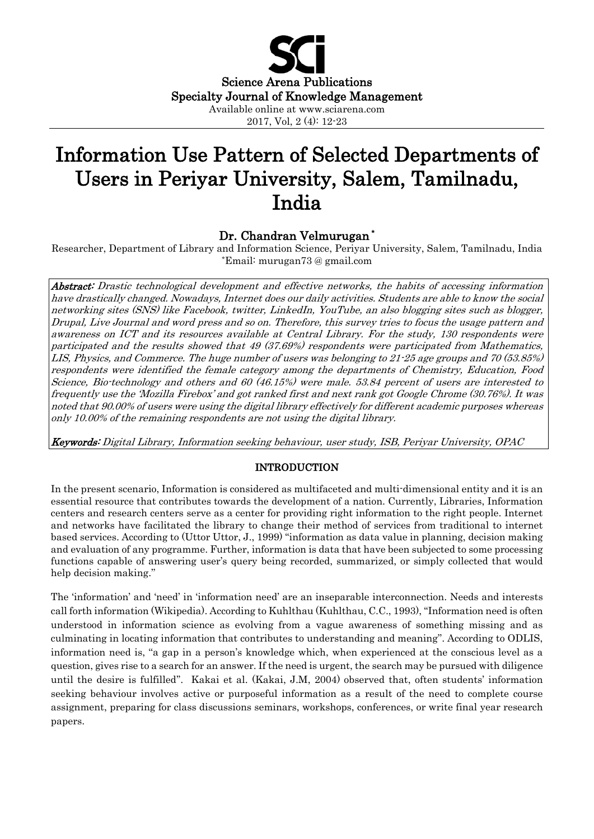

# Information Use Pattern of Selected Departments of Users in Periyar University, Salem, Tamilnadu, India

# Dr. Chandran Velmurugan **\***

Researcher, Department of Library and Information Science, Periyar University, Salem, Tamilnadu, India \*Email: murugan73 @ gmail.com

Abstract: Drastic technological development and effective networks, the habits of accessing information have drastically changed. Nowadays, Internet does our daily activities. Students are able to know the social networking sites (SNS) like Facebook, twitter, LinkedIn, YouTube, an also blogging sites such as blogger, Drupal, Live Journal and word press and so on. Therefore, this survey tries to focus the usage pattern and awareness on ICT and its resources available at Central Library. For the study, 130 respondents were participated and the results showed that 49 (37.69%) respondents were participated from Mathematics, LIS, Physics, and Commerce. The huge number of users was belonging to 21-25 age groups and 70 (53.85%) respondents were identified the female category among the departments of Chemistry, Education, Food Science, Bio-technology and others and 60 (46.15%) were male. 53.84 percent of users are interested to frequently use the 'Mozilla Firebox' and got ranked first and next rank got Google Chrome (30.76%). It was noted that 90.00% of users were using the digital library effectively for different academic purposes whereas only 10.00% of the remaining respondents are not using the digital library.

Keywords: Digital Library, Information seeking behaviour, user study, ISB, Periyar University, OPAC

#### INTRODUCTION

In the present scenario, Information is considered as multifaceted and multi-dimensional entity and it is an essential resource that contributes towards the development of a nation. Currently, Libraries, Information centers and research centers serve as a center for providing right information to the right people. Internet and networks have facilitated the library to change their method of services from traditional to internet based services. According to (Uttor Uttor, J., 1999) ''information as data value in planning, decision making and evaluation of any programme. Further, information is data that have been subjected to some processing functions capable of answering user's query being recorded, summarized, or simply collected that would help decision making.''

The 'information' and 'need' in 'information need' are an inseparable interconnection. Needs and interests call forth information (Wikipedia). According to Kuhlthau (Kuhlthau, C.C., 1993), ''Information need is often understood in information science as evolving from a vague awareness of something missing and as culminating in locating information that contributes to understanding and meaning''. According to ODLIS, information need is, "a gap in a person's knowledge which, when experienced at the conscious level as a question, gives rise to a search for an answer. If the need is urgent, the search may be pursued with diligence until the desire is fulfilled''. Kakai et al. (Kakai, J.M, 2004) observed that, often students' information seeking behaviour involves active or purposeful information as a result of the need to complete course assignment, preparing for class discussions seminars, workshops, conferences, or write final year research papers.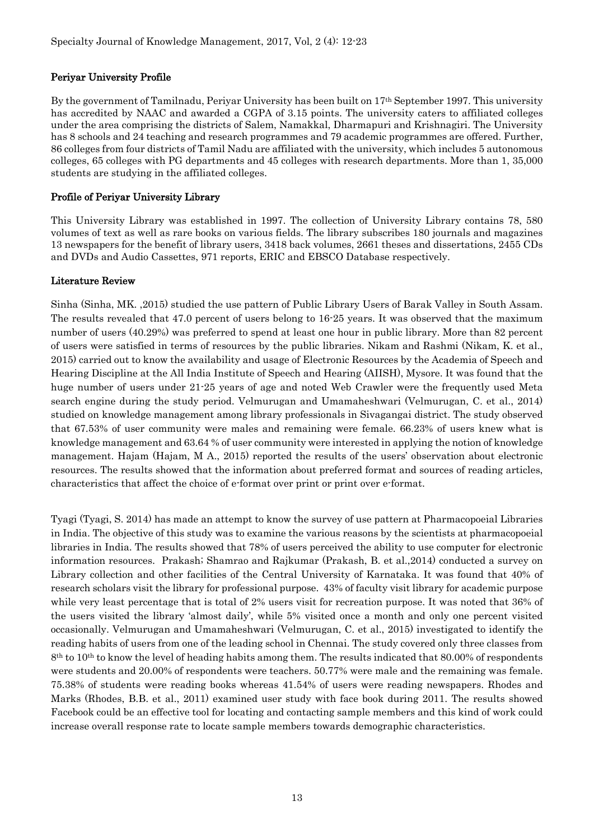# Periyar University Profile

By the government of Tamilnadu, Periyar University has been built on 17th September 1997. This university has accredited by NAAC and awarded a CGPA of 3.15 points. The university caters to affiliated colleges under the area comprising the districts of Salem, Namakkal, Dharmapuri and Krishnagiri. The University has 8 schools and 24 teaching and research programmes and 79 academic programmes are offered. Further, 86 colleges from four districts of Tamil Nadu are affiliated with the university, which includes 5 autonomous colleges, 65 colleges with PG departments and 45 colleges with research departments. More than 1, 35,000 students are studying in the affiliated colleges.

#### Profile of Periyar University Library

This University Library was established in 1997. The collection of University Library contains 78, 580 volumes of text as well as rare books on various fields. The library subscribes 180 journals and magazines 13 newspapers for the benefit of library users, 3418 back volumes, 2661 theses and dissertations, 2455 CDs and DVDs and Audio Cassettes, 971 reports, ERIC and EBSCO Database respectively.

#### Literature Review

Sinha (Sinha, MK. ,2015) studied the use pattern of Public Library Users of Barak Valley in South Assam. The results revealed that 47.0 percent of users belong to 16-25 years. It was observed that the maximum number of users (40.29%) was preferred to spend at least one hour in public library. More than 82 percent of users were satisfied in terms of resources by the public libraries. Nikam and Rashmi (Nikam, K. et al., 2015) carried out to know the availability and usage of Electronic Resources by the Academia of Speech and Hearing Discipline at the All India Institute of Speech and Hearing (AIISH), Mysore. It was found that the huge number of users under 21-25 years of age and noted Web Crawler were the frequently used Meta search engine during the study period. Velmurugan and Umamaheshwari (Velmurugan, C. et al., 2014) studied on knowledge management among library professionals in Sivagangai district. The study observed that 67.53% of user community were males and remaining were female. 66.23% of users knew what is knowledge management and 63.64 % of user community were interested in applying the notion of knowledge management. Hajam (Hajam, M A., 2015) reported the results of the users' observation about electronic resources. The results showed that the information about preferred format and sources of reading articles, characteristics that affect the choice of e-format over print or print over e-format.

Tyagi (Tyagi, S. 2014) has made an attempt to know the survey of use pattern at Pharmacopoeial Libraries in India. The objective of this study was to examine the various reasons by the scientists at pharmacopoeial libraries in India. The results showed that 78% of users perceived the ability to use computer for electronic information resources. Prakash; Shamrao and Rajkumar (Prakash, B. et al.,2014) conducted a survey on Library collection and other facilities of the Central University of Karnataka. It was found that 40% of research scholars visit the library for professional purpose. 43% of faculty visit library for academic purpose while very least percentage that is total of 2% users visit for recreation purpose. It was noted that 36% of the users visited the library 'almost daily', while 5% visited once a month and only one percent visited occasionally. Velmurugan and Umamaheshwari (Velmurugan, C. et al., 2015) investigated to identify the reading habits of users from one of the leading school in Chennai. The study covered only three classes from 8<sup>th</sup> to 10<sup>th</sup> to know the level of heading habits among them. The results indicated that 80.00% of respondents were students and 20.00% of respondents were teachers. 50.77% were male and the remaining was female. 75.38% of students were reading books whereas 41.54% of users were reading newspapers. Rhodes and Marks (Rhodes, B.B. et al., 2011) examined user study with face book during 2011. The results showed Facebook could be an effective tool for locating and contacting sample members and this kind of work could increase overall response rate to locate sample members towards demographic characteristics.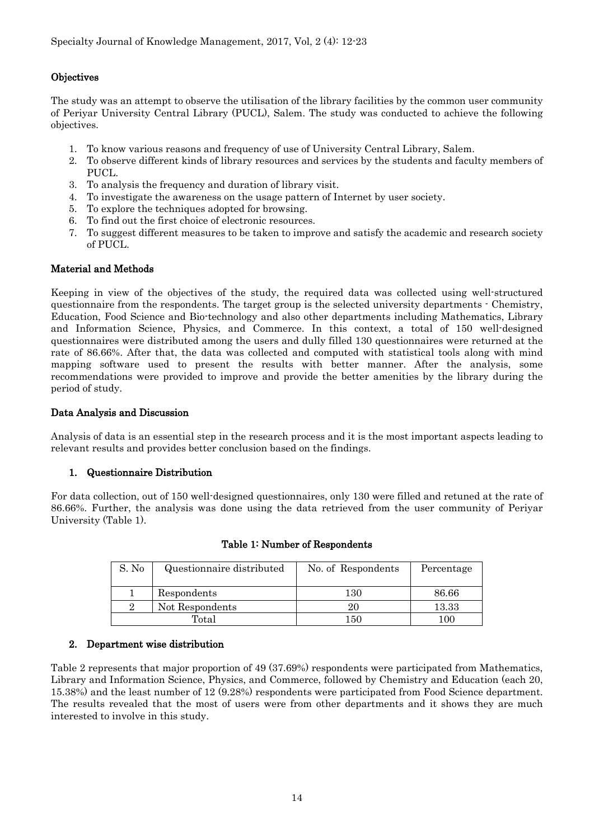# **Objectives**

The study was an attempt to observe the utilisation of the library facilities by the common user community of Periyar University Central Library (PUCL), Salem. The study was conducted to achieve the following objectives.

- 1. To know various reasons and frequency of use of University Central Library, Salem.
- 2. To observe different kinds of library resources and services by the students and faculty members of PUCL.
- 3. To analysis the frequency and duration of library visit.
- 4. To investigate the awareness on the usage pattern of Internet by user society.
- 5. To explore the techniques adopted for browsing.
- 6. To find out the first choice of electronic resources.
- 7. To suggest different measures to be taken to improve and satisfy the academic and research society of PUCL.

# Material and Methods

Keeping in view of the objectives of the study, the required data was collected using well-structured questionnaire from the respondents. The target group is the selected university departments - Chemistry, Education, Food Science and Bio-technology and also other departments including Mathematics, Library and Information Science, Physics, and Commerce. In this context, a total of 150 well-designed questionnaires were distributed among the users and dully filled 130 questionnaires were returned at the rate of 86.66%. After that, the data was collected and computed with statistical tools along with mind mapping software used to present the results with better manner. After the analysis, some recommendations were provided to improve and provide the better amenities by the library during the period of study.

#### Data Analysis and Discussion

Analysis of data is an essential step in the research process and it is the most important aspects leading to relevant results and provides better conclusion based on the findings.

# 1. Questionnaire Distribution

For data collection, out of 150 well-designed questionnaires, only 130 were filled and retuned at the rate of 86.66%. Further, the analysis was done using the data retrieved from the user community of Periyar University (Table 1).

| S. No | Questionnaire distributed | No. of Respondents | Percentage     |
|-------|---------------------------|--------------------|----------------|
|       | Respondents               | $130\,$            | 86.66          |
|       | Not Respondents           |                    | 13.33          |
| Total |                           | 150                | 0 <sup>0</sup> |

#### Table 1: Number of Respondents

#### 2. Department wise distribution

Table 2 represents that major proportion of 49 (37.69%) respondents were participated from Mathematics, Library and Information Science, Physics, and Commerce, followed by Chemistry and Education (each 20, 15.38%) and the least number of 12 (9.28%) respondents were participated from Food Science department. The results revealed that the most of users were from other departments and it shows they are much interested to involve in this study.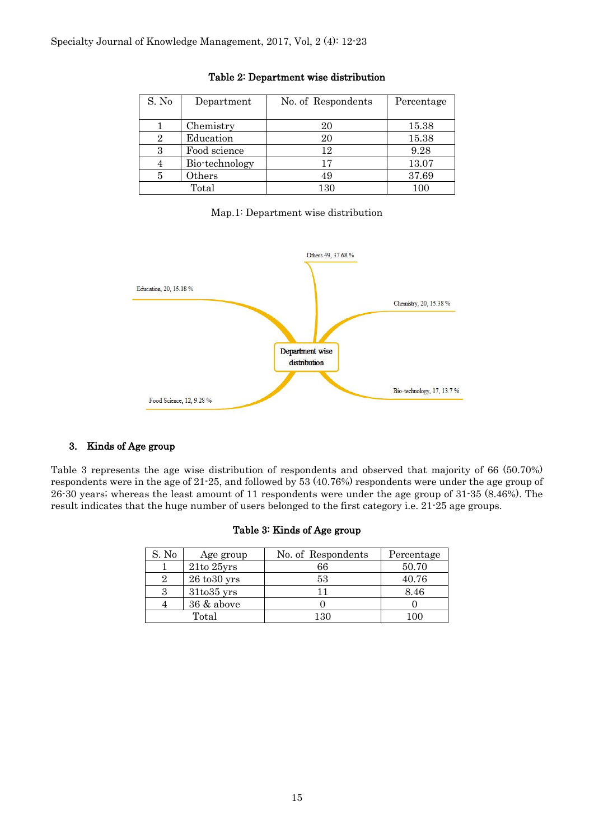| S. No          | Department     | No. of Respondents | Percentage |
|----------------|----------------|--------------------|------------|
|                |                |                    |            |
|                | Chemistry      | 20                 | 15.38      |
| $\overline{2}$ | Education      | 20                 | 15.38      |
|                | Food science   | 12                 | 9.28       |
|                | Bio-technology | 17                 | 13.07      |
|                | Others         | 49                 | 37.69      |
|                | Total          | 130                |            |

#### Table 2: Department wise distribution

#### Map.1: Department wise distribution



#### 3. Kinds of Age group

Table 3 represents the age wise distribution of respondents and observed that majority of 66 (50.70%) respondents were in the age of 21-25, and followed by 53 (40.76%) respondents were under the age group of 26-30 years; whereas the least amount of 11 respondents were under the age group of 31-35 (8.46%). The result indicates that the huge number of users belonged to the first category i.e. 21-25 age groups.

### Table 3: Kinds of Age group

| S. No | Age group                   | No. of Respondents | Percentage |
|-------|-----------------------------|--------------------|------------|
|       | $21$ to $25$ yrs            | 66                 | 50.70      |
|       | $26\text{ to}30\text{ yrs}$ | 53                 | 40.76      |
|       | 31to35 yrs                  |                    | 8.46       |
|       | 36 & above                  |                    |            |
|       | Total                       | 130                | 100        |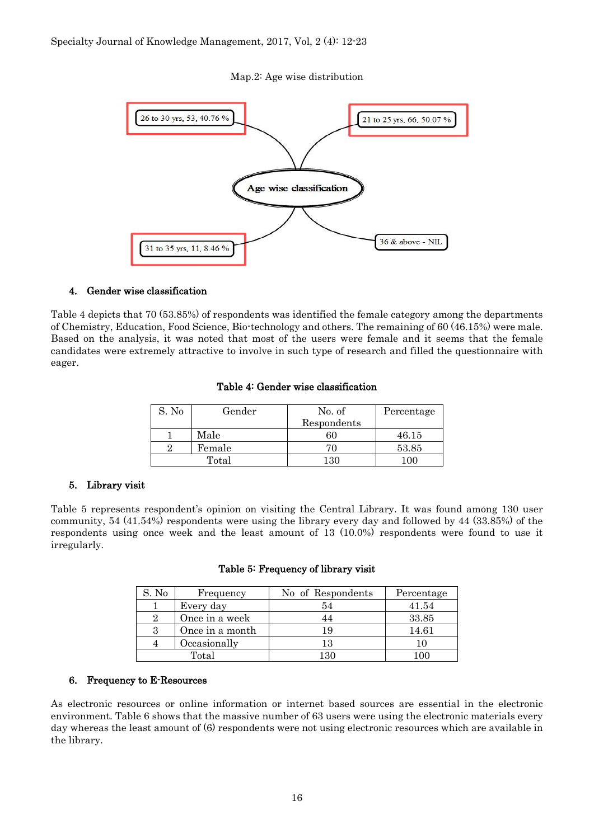#### Map.2: Age wise distribution



#### 4. Gender wise classification

Table 4 depicts that 70 (53.85%) of respondents was identified the female category among the departments of Chemistry, Education, Food Science, Bio-technology and others. The remaining of 60 (46.15%) were male. Based on the analysis, it was noted that most of the users were female and it seems that the female candidates were extremely attractive to involve in such type of research and filled the questionnaire with eager.

#### Table 4: Gender wise classification

| S. No | Gender | No. of      | Percentage |
|-------|--------|-------------|------------|
|       |        | Respondents |            |
|       | Male   | 60          | 46.15      |
|       | Female |             | 53.85      |
|       | Total  | 130         |            |

#### 5. Library visit

Table 5 represents respondent's opinion on visiting the Central Library. It was found among 130 user community, 54 (41.54%) respondents were using the library every day and followed by 44 (33.85%) of the respondents using once week and the least amount of 13 (10.0%) respondents were found to use it irregularly.

| S. No | Frequency       | No of Respondents | Percentage |
|-------|-----------------|-------------------|------------|
|       | Every day       | 54                | 41.54      |
|       | Once in a week  |                   | 33.85      |
|       | Once in a month | 19                | 14.61      |
|       | Occasionally    | 13                | 10         |
|       | Total           | 130               | n          |

#### Table 5: Frequency of library visit

#### 6. Frequency to E-Resources

As electronic resources or online information or internet based sources are essential in the electronic environment. Table 6 shows that the massive number of 63 users were using the electronic materials every day whereas the least amount of (6) respondents were not using electronic resources which are available in the library.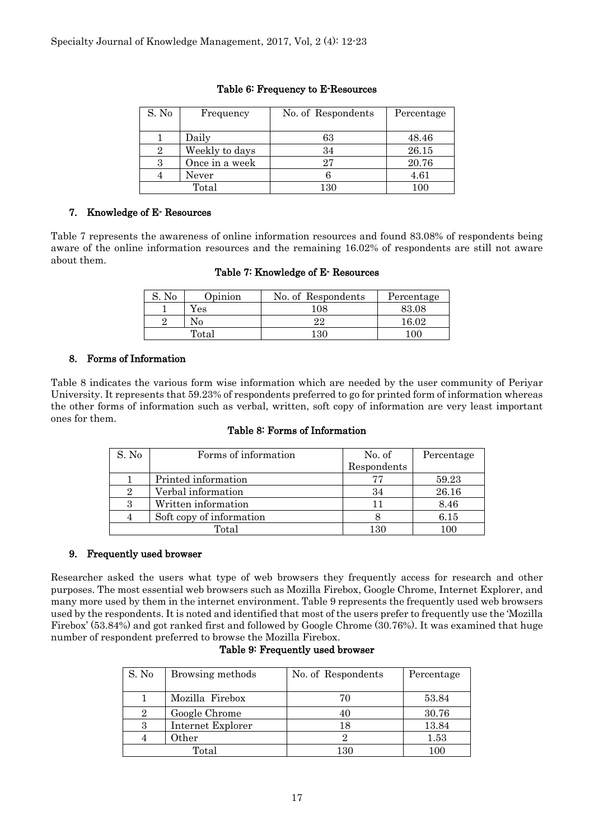| S. No | Frequency      | No. of Respondents | Percentage |
|-------|----------------|--------------------|------------|
|       |                |                    |            |
|       | Daily          | 63                 | 48.46      |
|       | Weekly to days | 34                 | 26.15      |
|       | Once in a week | 27                 | 20.76      |
|       | Never          |                    | 4.61       |
| Total |                | 130                | 100        |

#### Table 6: Frequency to E-Resources

# 7. Knowledge of E- Resources

Table 7 represents the awareness of online information resources and found 83.08% of respondents being aware of the online information resources and the remaining 16.02% of respondents are still not aware about them.

|  |  |  |  |  | Table 7: Knowledge of E- Resources |
|--|--|--|--|--|------------------------------------|
|--|--|--|--|--|------------------------------------|

| No | Opinion | No. of Respondents | Percentage |
|----|---------|--------------------|------------|
|    | r es    | 108                | 83.08      |
|    | N۵      | 22                 | 16.02      |
|    | Total   | 1 २८               | ി () (     |

# 8. Forms of Information

Table 8 indicates the various form wise information which are needed by the user community of Periyar University. It represents that 59.23% of respondents preferred to go for printed form of information whereas the other forms of information such as verbal, written, soft copy of information are very least important ones for them.

#### Table 8: Forms of Information

| S. No | Forms of information     | No. of      | Percentage |
|-------|--------------------------|-------------|------------|
|       |                          | Respondents |            |
|       | Printed information      | 77          | 59.23      |
| 2     | Verbal information       | 34          | 26.16      |
| 3     | Written information      | 11          | 8.46       |
|       | Soft copy of information |             | 6.15       |
|       | Total                    | 130         | 100        |

#### 9. Frequently used browser

Researcher asked the users what type of web browsers they frequently access for research and other purposes. The most essential web browsers such as Mozilla Firebox, Google Chrome, Internet Explorer, and many more used by them in the internet environment. Table 9 represents the frequently used web browsers used by the respondents. It is noted and identified that most of the users prefer to frequently use the 'Mozilla Firebox' (53.84%) and got ranked first and followed by Google Chrome (30.76%). It was examined that huge number of respondent preferred to browse the Mozilla Firebox.

| S. No | Browsing methods  | No. of Respondents | Percentage |
|-------|-------------------|--------------------|------------|
|       | Mozilla Firebox   | 70                 | 53.84      |
|       | Google Chrome     | 40                 | 30.76      |
|       | Internet Explorer | 18                 | 13.84      |
|       | Other             |                    | 1.53       |
| Total |                   | 130                | 100        |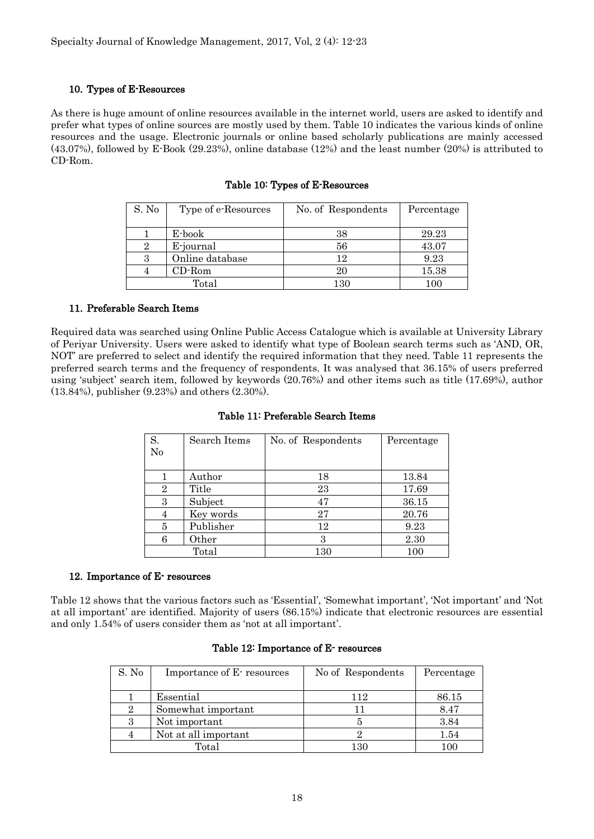#### 10. Types of E-Resources

As there is huge amount of online resources available in the internet world, users are asked to identify and prefer what types of online sources are mostly used by them. Table 10 indicates the various kinds of online resources and the usage. Electronic journals or online based scholarly publications are mainly accessed (43.07%), followed by E-Book (29.23%), online database (12%) and the least number (20%) is attributed to CD-Rom.

| S. No | Type of e-Resources | No. of Respondents | Percentage |
|-------|---------------------|--------------------|------------|
|       |                     |                    |            |
|       | E-book              | 38                 | 29.23      |
|       | E-journal           | 56                 | 43.07      |
|       | Online database     | 12                 | 9.23       |
|       | $CD$ -Rom           | $20\,$             | 15.38      |
|       | Total               | 130                | 100        |

#### Table 10: Types of E-Resources

#### 11. Preferable Search Items

Required data was searched using Online Public Access Catalogue which is available at University Library of Periyar University. Users were asked to identify what type of Boolean search terms such as 'AND, OR, NOT' are preferred to select and identify the required information that they need. Table 11 represents the preferred search terms and the frequency of respondents. It was analysed that 36.15% of users preferred using 'subject' search item, followed by keywords (20.76%) and other items such as title (17.69%), author (13.84%), publisher (9.23%) and others (2.30%).

| S.<br>No       | Search Items | No. of Respondents | Percentage |
|----------------|--------------|--------------------|------------|
|                | Author       | 18                 | 13.84      |
| $\overline{2}$ | Title        | 23                 | 17.69      |
| 3              | Subject      | 47                 | 36.15      |
|                | Key words    | 27                 | 20.76      |
| 5              | Publisher    | 12                 | 9.23       |
| 6              | Other        | З                  | 2.30       |
|                | Total        | 130                | 100        |

#### Table 11: Preferable Search Items

#### 12. Importance of E- resources

Table 12 shows that the various factors such as 'Essential', 'Somewhat important', 'Not important' and 'Not at all important' are identified. Majority of users (86.15%) indicate that electronic resources are essential and only 1.54% of users consider them as 'not at all important'.

#### Table 12: Importance of E- resources

| S. No          | Importance of E-resources | No of Respondents | Percentage |
|----------------|---------------------------|-------------------|------------|
|                |                           |                   |            |
|                | Essential                 | 112               | 86.15      |
| $\overline{2}$ | Somewhat important        | 11                | 8.47       |
| 3              | Not important             |                   | 3.84       |
| $\overline{4}$ | Not at all important      |                   | 1.54       |
|                | Total                     | 130               | 100        |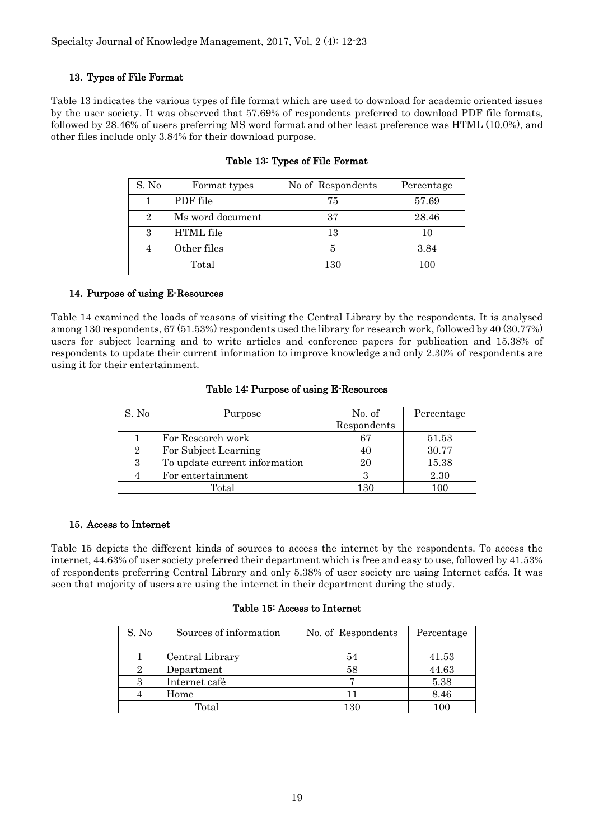# 13. Types of File Format

Table 13 indicates the various types of file format which are used to download for academic oriented issues by the user society. It was observed that 57.69% of respondents preferred to download PDF file formats, followed by 28.46% of users preferring MS word format and other least preference was HTML (10.0%), and other files include only 3.84% for their download purpose.

| S. No          | Format types     | No of Respondents | Percentage |
|----------------|------------------|-------------------|------------|
|                | PDF file         | 75                | 57.69      |
| $\overline{2}$ | Ms word document | 37                | 28.46      |
| З              | <b>HTML</b> file | 13                | 10         |
|                | Other files      | 5                 | 3.84       |
|                | Total            | 130               | 100        |

# Table 13: Types of File Format

# 14. Purpose of using E-Resources

Table 14 examined the loads of reasons of visiting the Central Library by the respondents. It is analysed among 130 respondents, 67 (51.53%) respondents used the library for research work, followed by 40 (30.77%) users for subject learning and to write articles and conference papers for publication and 15.38% of respondents to update their current information to improve knowledge and only 2.30% of respondents are using it for their entertainment.

#### Table 14: Purpose of using E-Resources

| S. No          | Purpose                       | No. of      | Percentage |
|----------------|-------------------------------|-------------|------------|
|                |                               | Respondents |            |
|                | For Research work             | 67          | 51.53      |
| $\overline{2}$ | For Subject Learning          | 40          | 30.77      |
| 3              | To update current information | 20          | 15.38      |
|                | For entertainment             |             | 2.30       |
|                | Total                         | $130\,$     | 100        |

#### 15. Access to Internet

Table 15 depicts the different kinds of sources to access the internet by the respondents. To access the internet, 44.63% of user society preferred their department which is free and easy to use, followed by 41.53% of respondents preferring Central Library and only 5.38% of user society are using Internet cafés. It was seen that majority of users are using the internet in their department during the study.

#### Table 15: Access to Internet

| S. No | Sources of information | No. of Respondents | Percentage     |
|-------|------------------------|--------------------|----------------|
|       |                        |                    |                |
|       | Central Library        | 54                 | 41.53          |
|       | Department             | 58                 | 44.63          |
|       | Internet café          |                    | 5.38           |
|       | Home                   |                    | 8.46           |
|       | Total                  | 130                | 0 <sup>0</sup> |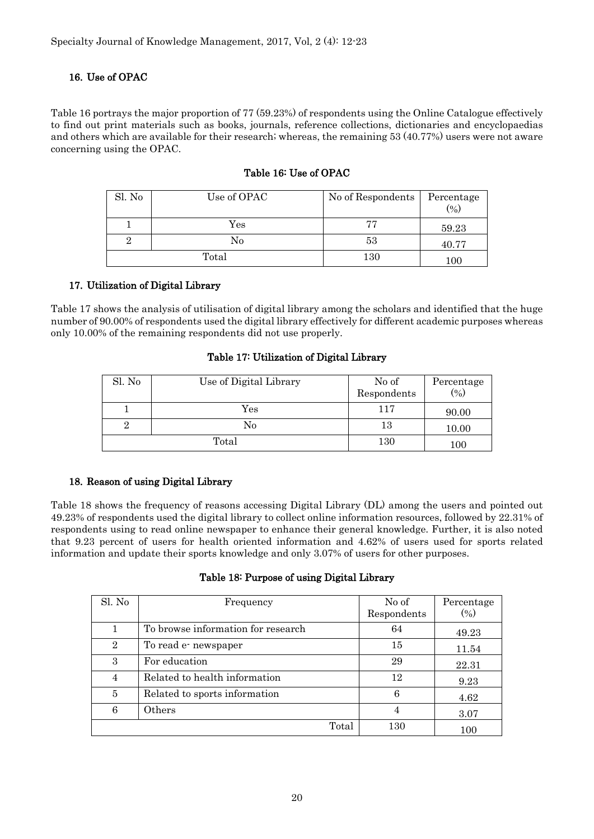# 16. Use of OPAC

Table 16 portrays the major proportion of 77 (59.23%) of respondents using the Online Catalogue effectively to find out print materials such as books, journals, reference collections, dictionaries and encyclopaedias and others which are available for their research; whereas, the remaining 53 (40.77%) users were not aware concerning using the OPAC.

| Sl. No | Use of OPAC          | No of Respondents | Percentage<br>(9) |
|--------|----------------------|-------------------|-------------------|
|        | $\operatorname{Yes}$ | 77                | 59.23             |
|        | No                   | 53                | 40.77             |
|        | Total                | 130               | $100\,$           |

# Table 16: Use of OPAC

# 17. Utilization of Digital Library

Table 17 shows the analysis of utilisation of digital library among the scholars and identified that the huge number of 90.00% of respondents used the digital library effectively for different academic purposes whereas only 10.00% of the remaining respondents did not use properly.

# Table 17: Utilization of Digital Library

| Sl. No | Use of Digital Library | No of<br>Respondents | Percentage<br>$(\%)$ |
|--------|------------------------|----------------------|----------------------|
|        | Yes                    | 117                  | 90.00                |
|        | No                     | 13                   | 10.00                |
|        | Total                  | 130                  | $100\,$              |

# 18. Reason of using Digital Library

Table 18 shows the frequency of reasons accessing Digital Library (DL) among the users and pointed out 49.23% of respondents used the digital library to collect online information resources, followed by 22.31% of respondents using to read online newspaper to enhance their general knowledge. Further, it is also noted that 9.23 percent of users for health oriented information and 4.62% of users used for sports related information and update their sports knowledge and only 3.07% of users for other purposes.

#### Table 18: Purpose of using Digital Library

| Sl. No         | Frequency                          | No of       | Percentage |
|----------------|------------------------------------|-------------|------------|
|                |                                    |             |            |
|                |                                    | Respondents | (0/0)      |
|                | To browse information for research | 64          |            |
|                |                                    |             | 49.23      |
| $\overline{2}$ | To read e- newspaper               | 15          |            |
|                |                                    |             | 11.54      |
| 3              | For education                      | 29          |            |
|                |                                    |             | 22.31      |
| 4              | Related to health information      | 12          |            |
|                |                                    |             | 9.23       |
| $\overline{5}$ | Related to sports information      | 6           |            |
|                |                                    |             | 4.62       |
| 6              | Others                             | 4           |            |
|                |                                    |             | 3.07       |
|                | Total                              | 130         |            |
|                |                                    |             | 100        |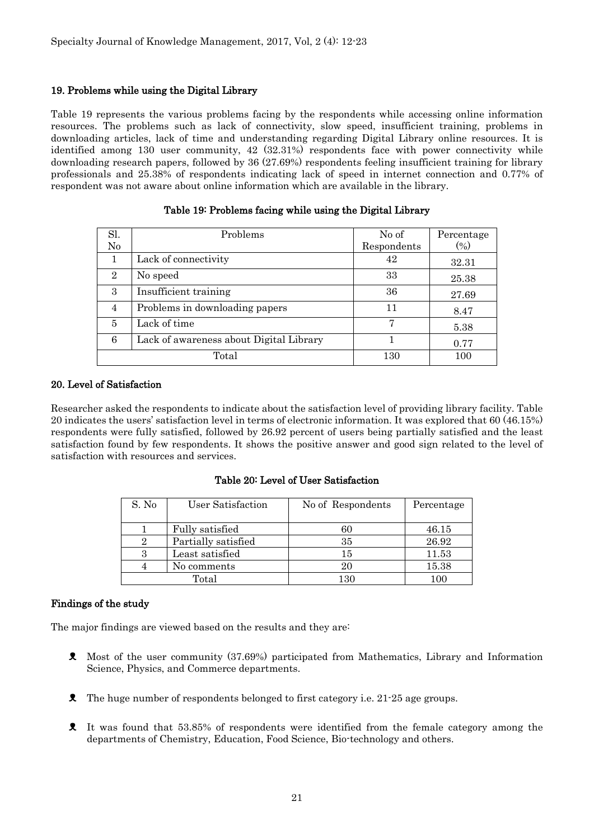#### 19. Problems while using the Digital Library

Table 19 represents the various problems facing by the respondents while accessing online information resources. The problems such as lack of connectivity, slow speed, insufficient training, problems in downloading articles, lack of time and understanding regarding Digital Library online resources. It is identified among 130 user community, 42 (32.31%) respondents face with power connectivity while downloading research papers, followed by 36 (27.69%) respondents feeling insufficient training for library professionals and 25.38% of respondents indicating lack of speed in internet connection and 0.77% of respondent was not aware about online information which are available in the library.

| Sl.<br>$\rm No$ | Problems                                | No of<br>Respondents | Percentage<br>$(\%)$ |
|-----------------|-----------------------------------------|----------------------|----------------------|
| 1               | Lack of connectivity                    | 42                   | 32.31                |
| $\overline{2}$  | No speed                                | 33                   | 25.38                |
| 3               | Insufficient training                   | 36                   | 27.69                |
| 4               | Problems in downloading papers          | 11                   | 8.47                 |
| 5               | Lack of time                            | 7                    | 5.38                 |
| 6               | Lack of awareness about Digital Library |                      | 0.77                 |
|                 | Total                                   | 130                  | 100                  |

#### Table 19: Problems facing while using the Digital Library

#### 20. Level of Satisfaction

Researcher asked the respondents to indicate about the satisfaction level of providing library facility. Table 20 indicates the users' satisfaction level in terms of electronic information. It was explored that 60 (46.15%) respondents were fully satisfied, followed by 26.92 percent of users being partially satisfied and the least satisfaction found by few respondents. It shows the positive answer and good sign related to the level of satisfaction with resources and services.

#### Table 20: Level of User Satisfaction

| S. No | User Satisfaction   | No of Respondents | Percentage |
|-------|---------------------|-------------------|------------|
|       |                     |                   |            |
|       | Fully satisfied     | 60                | 46.15      |
|       | Partially satisfied | 35                | 26.92      |
|       | Least satisfied     | 15                | 11.53      |
|       | No comments         | 20                | 15.38      |
|       | Total               | 130               | 100        |

#### Findings of the study

The major findings are viewed based on the results and they are:

- ᴥ Most of the user community (37.69%) participated from Mathematics, Library and Information Science, Physics, and Commerce departments.
- ᴥ The huge number of respondents belonged to first category i.e. 21-25 age groups.
- ᴥ It was found that 53.85% of respondents were identified from the female category among the departments of Chemistry, Education, Food Science, Bio-technology and others.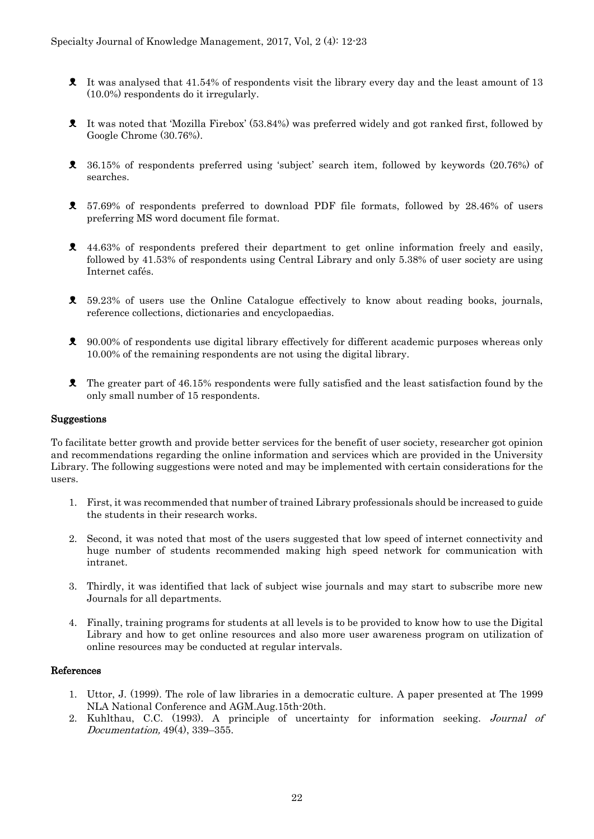- ᴥ It was analysed that 41.54% of respondents visit the library every day and the least amount of 13 (10.0%) respondents do it irregularly.
- ᴥ It was noted that 'Mozilla Firebox' (53.84%) was preferred widely and got ranked first, followed by Google Chrome (30.76%).
- ᴥ 36.15% of respondents preferred using 'subject' search item, followed by keywords (20.76%) of searches.
- ᴥ 57.69% of respondents preferred to download PDF file formats, followed by 28.46% of users preferring MS word document file format.
- $\ell$  44.63% of respondents prefered their department to get online information freely and easily, followed by 41.53% of respondents using Central Library and only 5.38% of user society are using Internet cafés.
- ᴥ 59.23% of users use the Online Catalogue effectively to know about reading books, journals, reference collections, dictionaries and encyclopaedias.
- ᴥ 90.00% of respondents use digital library effectively for different academic purposes whereas only 10.00% of the remaining respondents are not using the digital library.
- ᴥ The greater part of 46.15% respondents were fully satisfied and the least satisfaction found by the only small number of 15 respondents.

#### Suggestions

To facilitate better growth and provide better services for the benefit of user society, researcher got opinion and recommendations regarding the online information and services which are provided in the University Library. The following suggestions were noted and may be implemented with certain considerations for the users.

- 1. First, it was recommended that number of trained Library professionals should be increased to guide the students in their research works.
- 2. Second, it was noted that most of the users suggested that low speed of internet connectivity and huge number of students recommended making high speed network for communication with intranet.
- 3. Thirdly, it was identified that lack of subject wise journals and may start to subscribe more new Journals for all departments.
- 4. Finally, training programs for students at all levels is to be provided to know how to use the Digital Library and how to get online resources and also more user awareness program on utilization of online resources may be conducted at regular intervals.

#### References

- 1. Uttor, J. (1999). The role of law libraries in a democratic culture. A paper presented at The 1999 NLA National Conference and AGM.Aug.15th-20th.
- 2. Kuhlthau, C.C. (1993). A principle of uncertainty for information seeking. Journal of Documentation, 49(4), 339–355.